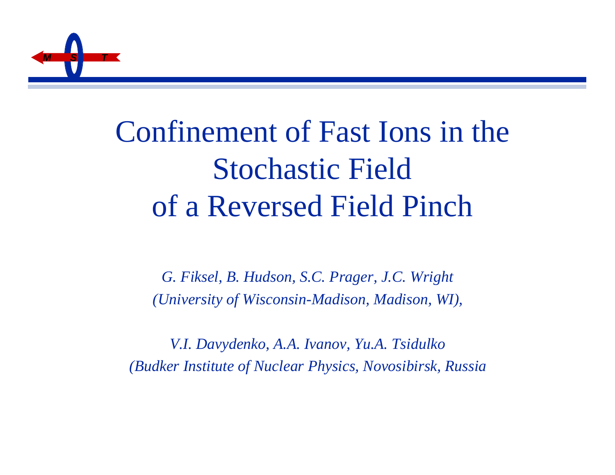

## Confinement of Fast Ions in the Stochastic Field of a Reversed Field Pinch

*G. Fiksel, B. Hudson, S.C. Prager, J.C. Wright (University of Wisconsin-Madison, Madison, WI),*

*V.I. Davydenko, A.A. Ivanov, Yu.A. Tsidulko (Budker Institute of Nuclear Physics, Novosibirsk, Russia*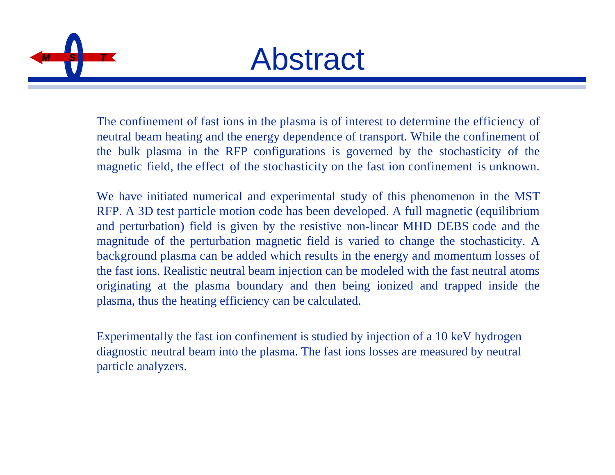

The confinement of fast ions in the plasma is of interest to determine the efficiency of neutral beam heating and the energy dependence of transport. While the confinement of the bulk plasma in the RFP configurations is governed by the stochasticity of the magnetic field, the effect of the stochasticity on the fast ion confinement is unknown.

We have initiated numerical and experimental study of this phenomenon in the MST RFP. A 3D test particle motion code has been developed. A full magnetic (equilibrium and perturbation) field is given by the resistive non-linear MHD DEBS code and the magnitude of the perturbation magnetic field is varied to change the stochasticity. A background plasma can be added which results in the energy and momentum losses of the fast ions. Realistic neutral beam injection can be modeled with the fast neutral atoms originating at the plasma boundary and then being ionized and trapped inside the plasma, thus the heating efficiency can be calculated.

Experimentally the fast ion confinement is studied by injection of a 10 keV hydrogen diagnostic neutral beam into the plasma. The fast ions losses are measured by neutral particle analyzers.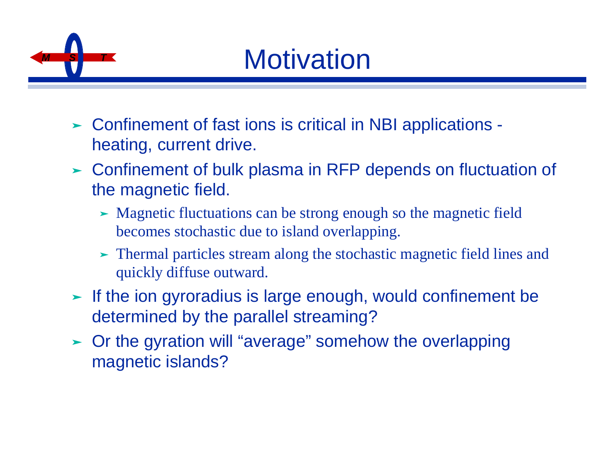

## **Motivation**

- ► Confinement of fast ions is critical in NBI applications heating, current drive.
- ► Confinement of bulk plasma in RFP depends on fluctuation of the magnetic field.
	- ► Magnetic fluctuations can be strong enough so the magnetic field becomes stochastic due to island overlapping.
	- ‰ Thermal particles stream along the stochastic magnetic field lines and quickly diffuse outward.
- $\blacktriangleright$  If the ion gyroradius is large enough, would confinement be determined by the parallel streaming?
- ‰ Or the gyration will "average" somehow the overlapping magnetic islands?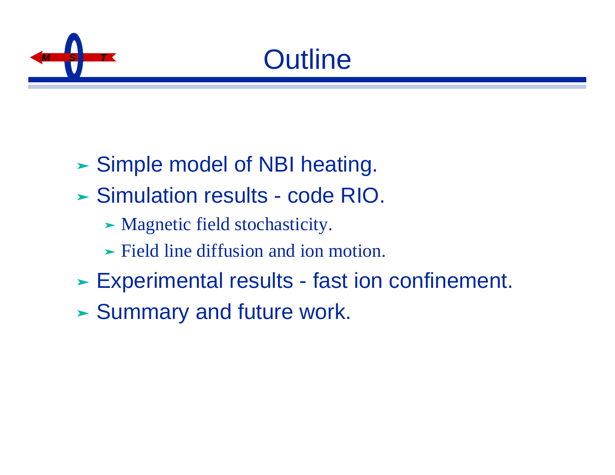



- ► Simple model of NBI heating.
- ‰ Simulation results code RIO.
	- ‰ Magnetic field stochasticity.
	- ‰ Field line diffusion and ion motion.
- ‰ Experimental results fast ion confinement.
- ‰ Summary and future work.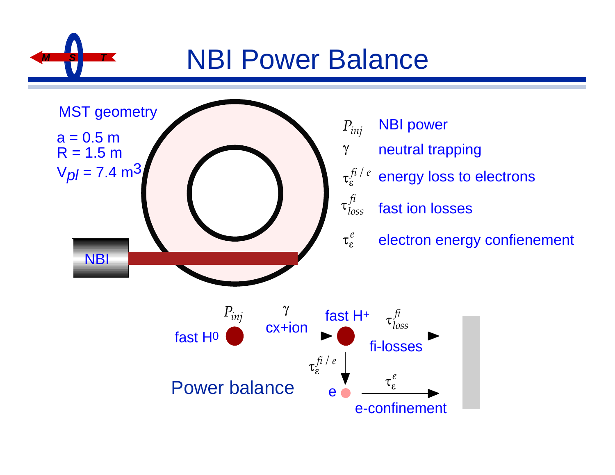## **NBI Power Balance**



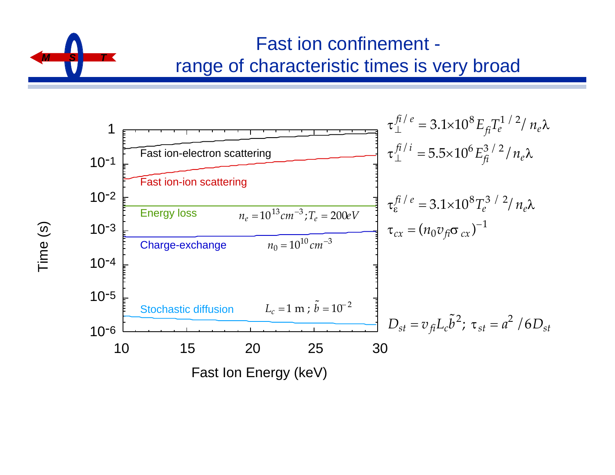

#### Fast ion confinement range of characteristic times is very broad



Time (s)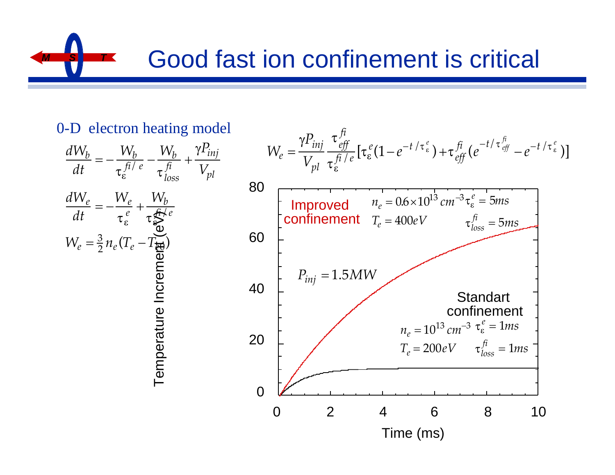## **Good fast ion confinement is critical**

#### 0-D electron heating model



*W<sup>e</sup>* = *Pinj Vpl eff fi fi* /*e* [ *e* (1− *e* −*t* / *e* ) + *eff fi* (*e* −*t*/ *eff fi* − *e* −*t* / *e* )] Time (ms) 0 2 4 6 8 10 80 60 40 20 0  *ne* = 10<sup>13</sup> *cm*−<sup>3</sup> *Te* <sup>=</sup> <sup>200</sup>*eV e* = 1*ms loss fi* = 1*ms ne* = 0.6×10<sup>13</sup> *cm*−<sup>3</sup> *Te* = 400*eV e* = 5*ms loss fi* = 5*ms Pinj* = 1.5*MW* Standart confinement Improved confinement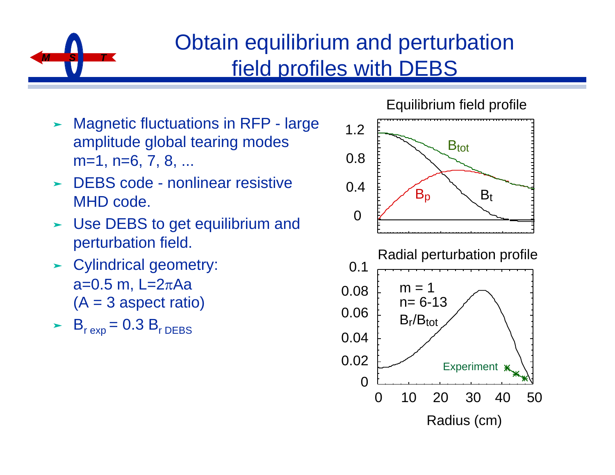

### Obtain equilibrium and perturbation field profiles with DEBS

- ► Magnetic fluctuations in RFP large amplitude global tearing modes m=1, n=6, 7, 8, ...  $\overline{a}$
- ► DEBS code nonlinear resistive MHD code.
- ► Use DEBS to get equilibrium and perturbation field.
- $\blacktriangleright$  Cylindrical geometry: a= $0.5$  m, L= $2πAa$  $(A = 3$  aspect ratio)
- $\angle$  B<sub>r exp</sub> = 0.3 B<sub>r DEBS</sub>





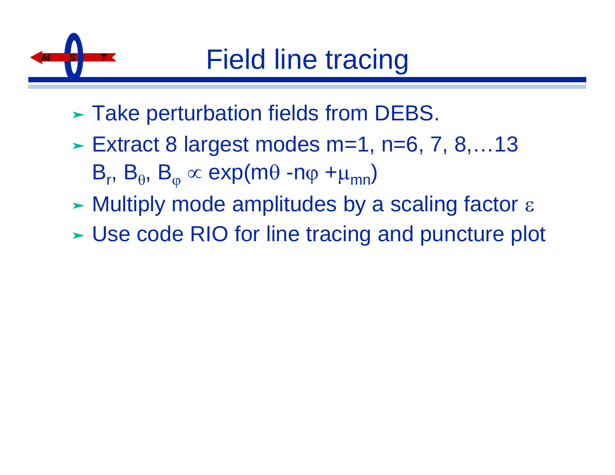

- ‰ Take perturbation fields from DEBS.
- $\blacktriangleright$  Extract 8 largest modes m=1, n=6, 7, 8,...13  $B_r$ ,  $B_\theta$ ,  $B_\phi \propto$  exp(mθ -nφ +μ<sub>mn</sub>)
- $\triangleright$  Multiply mode amplitudes by a scaling factor  $\varepsilon$
- ► Use code RIO for line tracing and puncture plot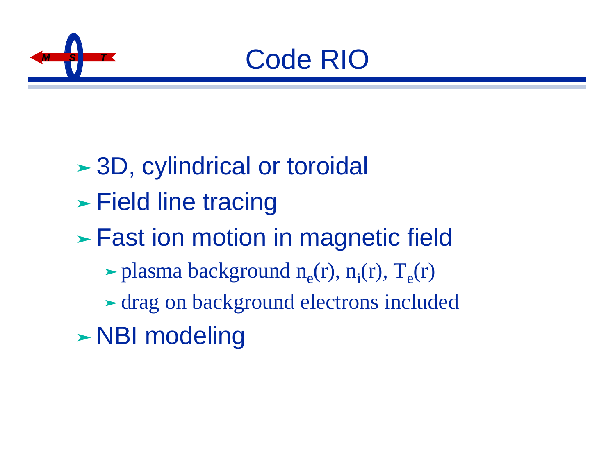

## *<sup>M</sup> <sup>S</sup> <sup>T</sup>* Code RIO

- ► 3D, cylindrical or toroidal
- ► Field line tracing
- ‰ Fast ion motion in magnetic field
	- $\blacktriangleright$  plasma background n<sub>e</sub>(r), n<sub>i</sub>(r), T<sub>e</sub>(r)
	- ‰ drag on background electrons included
- ► NBI modeling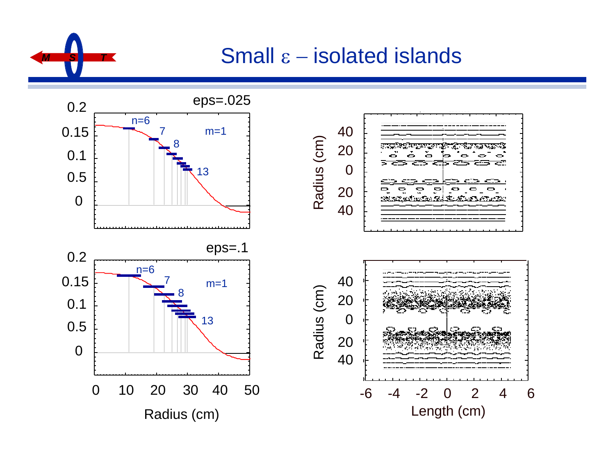

#### **Small ε – isolated islands**

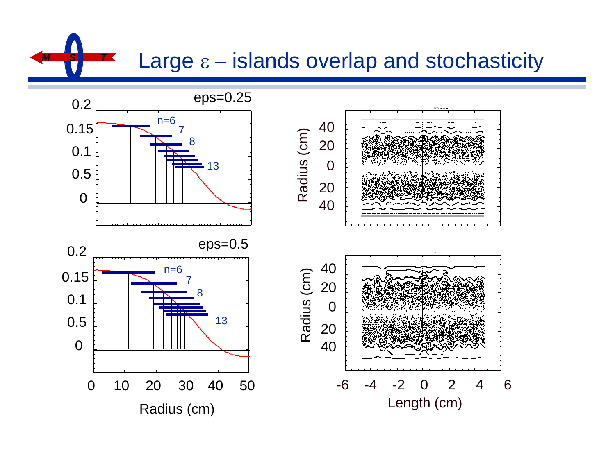**Large ε − islands overlap and stochasticity** 

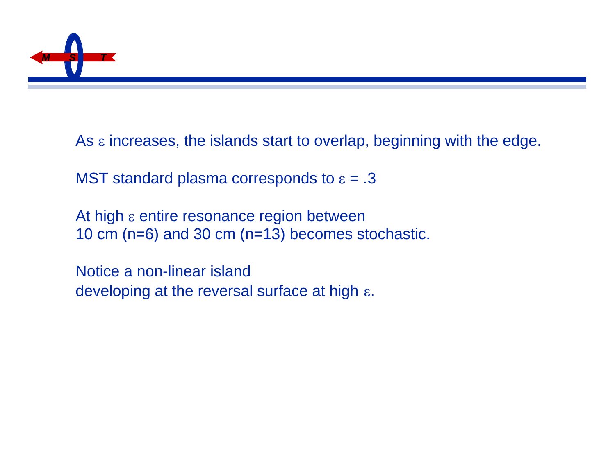

As ε increases, the islands start to overlap, beginning with the edge.

MST standard plasma corresponds to  $\varepsilon = .3$ 

At high ε entire resonance region between 10 cm (n=6) and 30 cm (n=13) becomes stochastic.

Notice a non-linear island developing at the reversal surface at high ε.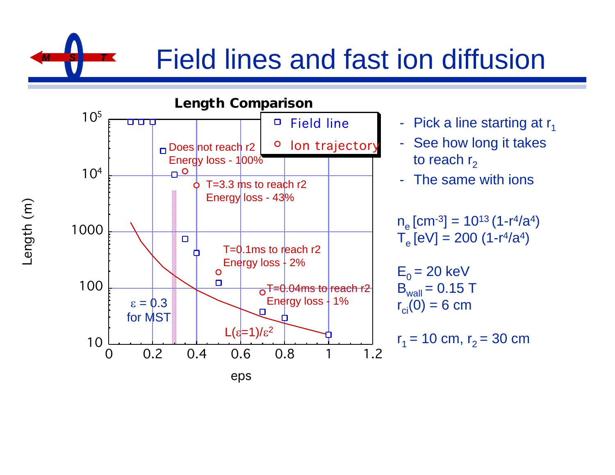Field lines and fast ion diffusion



*M S T*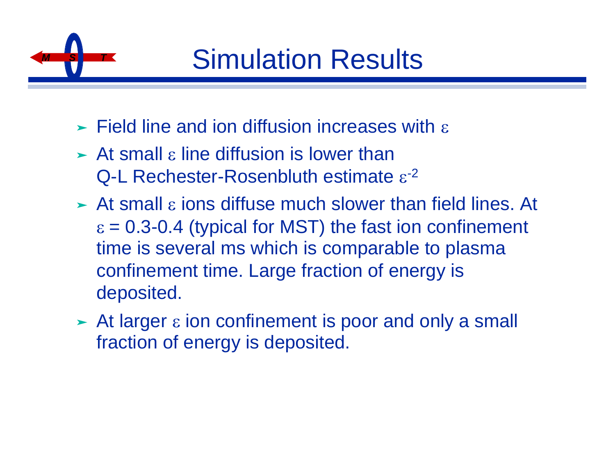

- $\triangleright$  Field line and ion diffusion increases with  $\varepsilon$
- $\triangleright$  At small  $\varepsilon$  line diffusion is lower than Q-L Rechester-Rosenbluth estimate ε<sup>-2</sup>
- $\triangleright$  At small  $\varepsilon$  ions diffuse much slower than field lines. At  $\epsilon$  = 0.3-0.4 (typical for MST) the fast ion confinement time is several ms which is comparable to plasma confinement time. Large fraction of energy is deposited.
- $\triangleright$  At larger  $\varepsilon$  ion confinement is poor and only a small fraction of energy is deposited.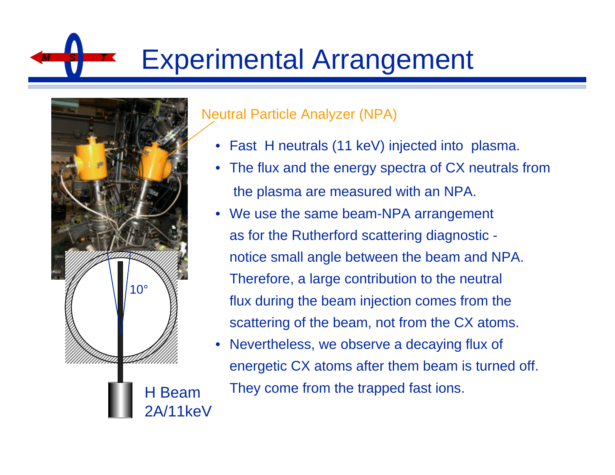# **Experimental Arrangement**



#### Neutral Particle Analyzer (NPA)

- Fast H neutrals (11 keV) injected into plasma.
- The flux and the energy spectra of CX neutrals from the plasma are measured with an NPA.
- We use the same beam-NPA arrangement as for the Rutherford scattering diagnostic notice small angle between the beam and NPA. Therefore, a large contribution to the neutral flux during the beam injection comes from the scattering of the beam, not from the CX atoms.
- Nevertheless, we observe a decaying flux of energetic CX atoms after them beam is turned off. They come from the trapped fast ions.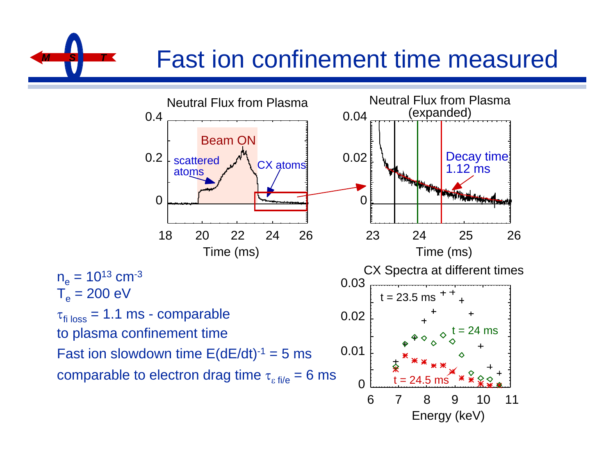# **Fast ion confinement time measured**



 $n_e = 10^{13}$  cm<sup>-3</sup>  $T_e$  = 200 eV

Fast ion slowdown time  $E(dE/dt)^{-1} = 5$  ms

comparable to electron drag time  $\tau_{\text{eff/e}} = 6 \text{ ms}$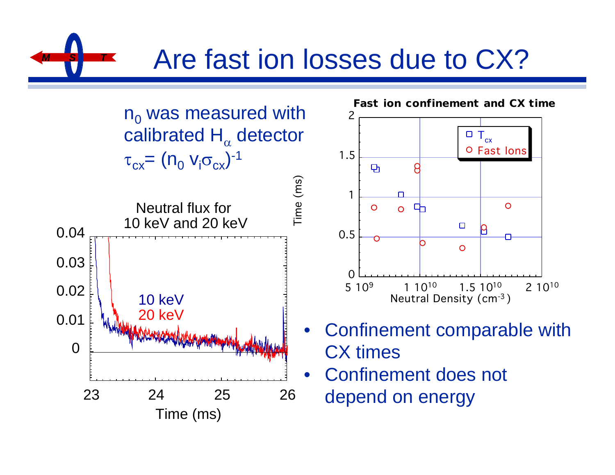## Are fast ion losses due to CX?

 $n_0$  was measured with calibrated  $\mathsf{H}_{\alpha}$  detector  $\tau_{cx} = (n_o \; v_i \sigma_{cx})^{-1}$ 





- Confinement comparable with CX times
- Confinement does not depend on energy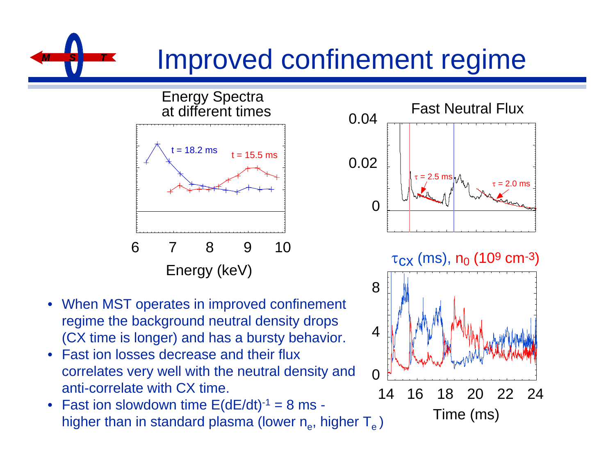### *M S T* Improved confinement regime

Energy Spectra at different times





- Fast ion losses decrease and their flux correlates very well with the neutral density and anti-correlate with CX time.
- Fast ion slowdown time  $E(dE/dt)^{-1} = 8$  ms higher than in standard plasma (lower  $\mathsf{n}_{\rm e}$ , higher  $\mathsf{T}_{\rm e}$  )



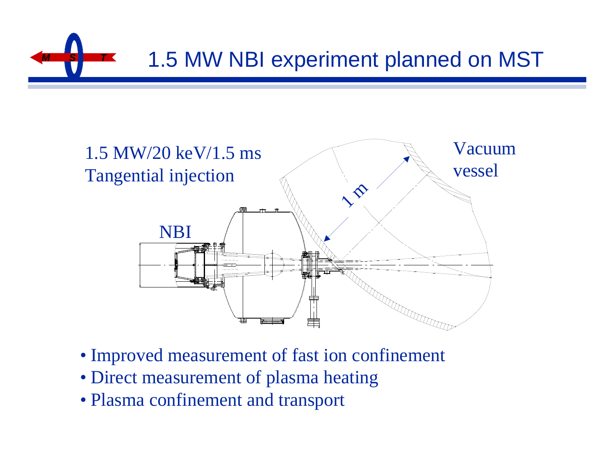



- Improved measurement of fast ion confinement
- Direct measurement of plasma heating
- Plasma confinement and transport